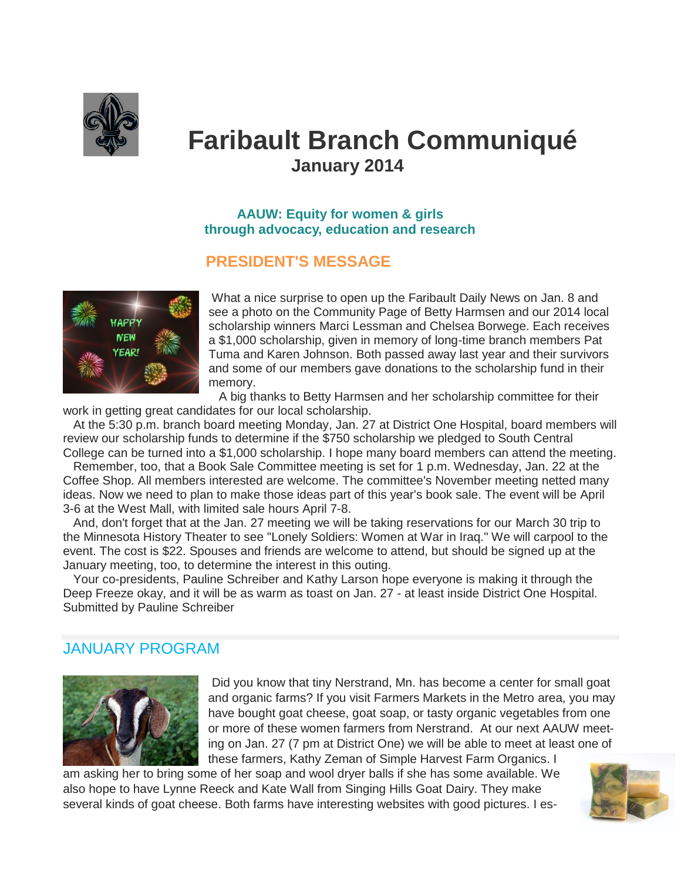

# **Faribault Branch Communiqué January 2014**

#### **AAUW: Equity for women & girls through advocacy, education and research**

## **PRESIDENT'S MESSAGE**



What a nice surprise to open up the Faribault Daily News on Jan. 8 and see a photo on the Community Page of Betty Harmsen and our 2014 local scholarship winners Marci Lessman and Chelsea Borwege. Each receives a \$1,000 scholarship, given in memory of long-time branch members Pat Tuma and Karen Johnson. Both passed away last year and their survivors and some of our members gave donations to the scholarship fund in their memory.

 A big thanks to Betty Harmsen and her scholarship committee for their work in getting great candidates for our local scholarship.

 At the 5:30 p.m. branch board meeting Monday, Jan. 27 at District One Hospital, board members will review our scholarship funds to determine if the \$750 scholarship we pledged to South Central College can be turned into a \$1,000 scholarship. I hope many board members can attend the meeting.

 Remember, too, that a Book Sale Committee meeting is set for 1 p.m. Wednesday, Jan. 22 at the Coffee Shop. All members interested are welcome. The committee's November meeting netted many ideas. Now we need to plan to make those ideas part of this year's book sale. The event will be April 3-6 at the West Mall, with limited sale hours April 7-8.

 And, don't forget that at the Jan. 27 meeting we will be taking reservations for our March 30 trip to the Minnesota History Theater to see "Lonely Soldiers: Women at War in Iraq." We will carpool to the event. The cost is \$22. Spouses and friends are welcome to attend, but should be signed up at the January meeting, too, to determine the interest in this outing.

 Your co-presidents, Pauline Schreiber and Kathy Larson hope everyone is making it through the Deep Freeze okay, and it will be as warm as toast on Jan. 27 - at least inside District One Hospital. Submitted by Pauline Schreiber

## JANUARY PROGRAM



Did you know that tiny Nerstrand, Mn. has become a center for small goat and organic farms? If you visit Farmers Markets in the Metro area, you may have bought goat cheese, goat soap, or tasty organic vegetables from one or more of these women farmers from Nerstrand. At our next AAUW meeting on Jan. 27 (7 pm at District One) we will be able to meet at least one of these farmers, Kathy Zeman of Simple Harvest Farm Organics. I

am asking her to bring some of her soap and wool dryer balls if she has some available. We also hope to have Lynne Reeck and Kate Wall from Singing Hills Goat Dairy. They make several kinds of goat cheese. Both farms have interesting websites with good pictures. I es-

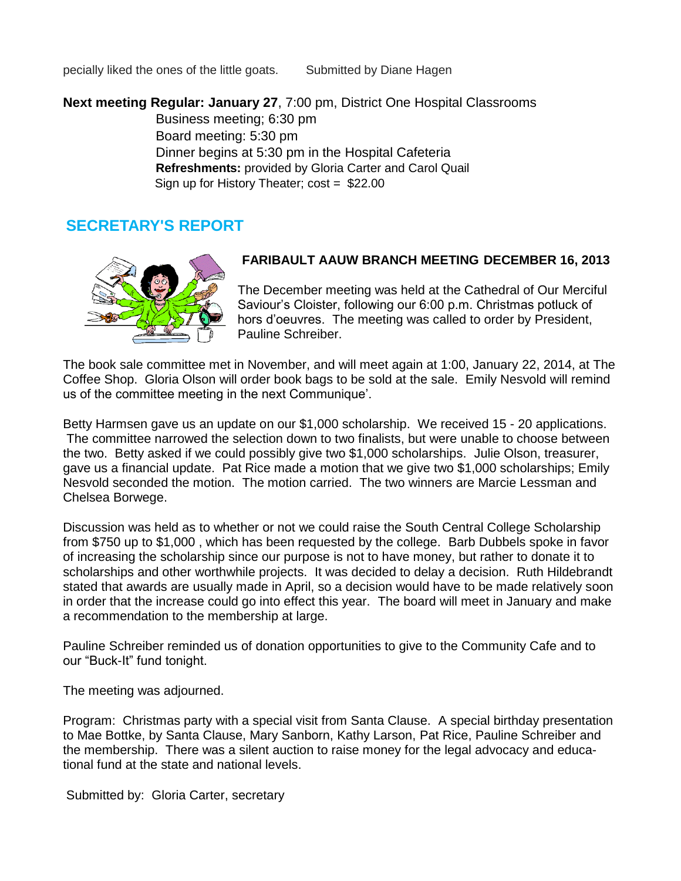pecially liked the ones of the little goats. Submitted by Diane Hagen

**Next meeting Regular: January 27**, 7:00 pm, District One Hospital Classrooms

 Business meeting; 6:30 pm Board meeting: 5:30 pm Dinner begins at 5:30 pm in the Hospital Cafeteria **Refreshments:** provided by Gloria Carter and Carol Quail Sign up for History Theater; cost = \$22.00

# **SECRETARY'S REPORT**



#### **FARIBAULT AAUW BRANCH MEETING DECEMBER 16, 2013**

The December meeting was held at the Cathedral of Our Merciful Saviour's Cloister, following our 6:00 p.m. Christmas potluck of hors d'oeuvres. The meeting was called to order by President, Pauline Schreiber.

The book sale committee met in November, and will meet again at 1:00, January 22, 2014, at The Coffee Shop. Gloria Olson will order book bags to be sold at the sale. Emily Nesvold will remind us of the committee meeting in the next Communique'.

Betty Harmsen gave us an update on our \$1,000 scholarship. We received 15 - 20 applications. The committee narrowed the selection down to two finalists, but were unable to choose between the two. Betty asked if we could possibly give two \$1,000 scholarships. Julie Olson, treasurer, gave us a financial update. Pat Rice made a motion that we give two \$1,000 scholarships; Emily Nesvold seconded the motion. The motion carried. The two winners are Marcie Lessman and Chelsea Borwege.

Discussion was held as to whether or not we could raise the South Central College Scholarship from \$750 up to \$1,000 , which has been requested by the college. Barb Dubbels spoke in favor of increasing the scholarship since our purpose is not to have money, but rather to donate it to scholarships and other worthwhile projects. It was decided to delay a decision. Ruth Hildebrandt stated that awards are usually made in April, so a decision would have to be made relatively soon in order that the increase could go into effect this year. The board will meet in January and make a recommendation to the membership at large.

Pauline Schreiber reminded us of donation opportunities to give to the Community Cafe and to our "Buck-It" fund tonight.

The meeting was adjourned.

Program: Christmas party with a special visit from Santa Clause. A special birthday presentation to Mae Bottke, by Santa Clause, Mary Sanborn, Kathy Larson, Pat Rice, Pauline Schreiber and the membership. There was a silent auction to raise money for the legal advocacy and educational fund at the state and national levels.

Submitted by: Gloria Carter, secretary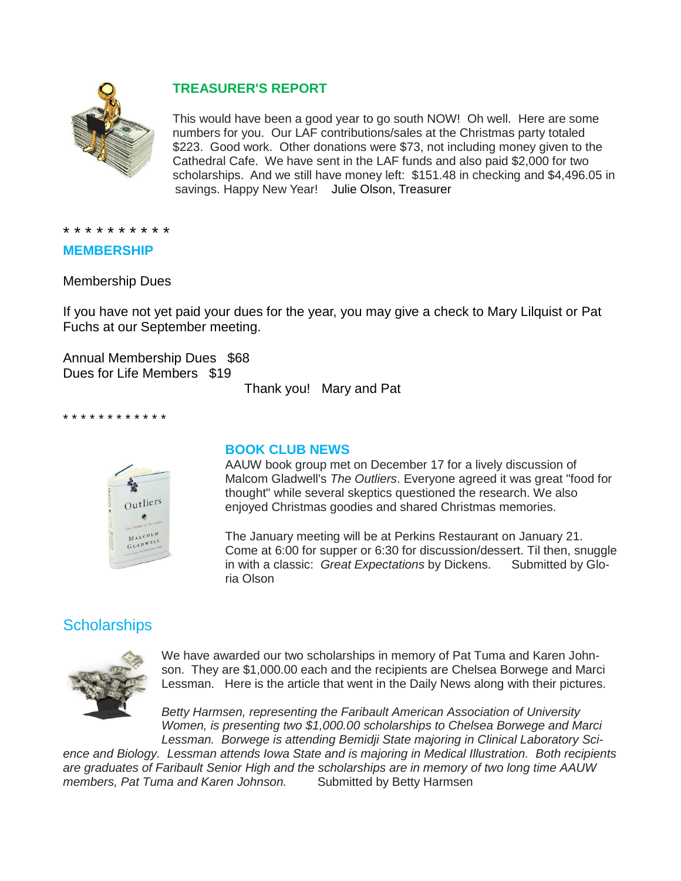

# **TREASURER'S REPORT**

This would have been a good year to go south NOW! Oh well. Here are some numbers for you. Our LAF contributions/sales at the Christmas party totaled \$223. Good work. Other donations were \$73, not including money given to the Cathedral Cafe. We have sent in the LAF funds and also paid \$2,000 for two scholarships. And we still have money left: \$151.48 in checking and \$4,496.05 in savings. Happy New Year! Julie Olson, Treasurer

\* \* \* \* \* \* \* \* \* \*

#### **MEMBERSHIP**

Membership Dues

If you have not yet paid your dues for the year, you may give a check to Mary Lilquist or Pat Fuchs at our September meeting.

Annual Membership Dues \$68 Dues for Life Members \$19

Thank you! Mary and Pat

\* \* \* \* \* \* \* \* \* \* \* \*



#### **BOOK CLUB NEWS**

AAUW book group met on December 17 for a lively discussion of Malcom Gladwell's *The Outliers*. Everyone agreed it was great "food for thought" while several skeptics questioned the research. We also enjoyed Christmas goodies and shared Christmas memories.

The January meeting will be at Perkins Restaurant on January 21. Come at 6:00 for supper or 6:30 for discussion/dessert. Til then, snuggle in with a classic: *Great Expectations* by Dickens. Submitted by Gloria Olson

# **Scholarships**



We have awarded our two scholarships in memory of Pat Tuma and Karen Johnson. They are \$1,000.00 each and the recipients are Chelsea Borwege and Marci Lessman. Here is the article that went in the Daily News along with their pictures.

*Betty Harmsen, representing the Faribault American Association of University Women, is presenting two \$1,000.00 scholarships to Chelsea Borwege and Marci Lessman. Borwege is attending Bemidji State majoring in Clinical Laboratory Sci-*

*ence and Biology. Lessman attends Iowa State and is majoring in Medical Illustration. Both recipients are graduates of Faribault Senior High and the scholarships are in memory of two long time AAUW*  members, Pat Tuma and Karen Johnson. Submitted by Betty Harmsen